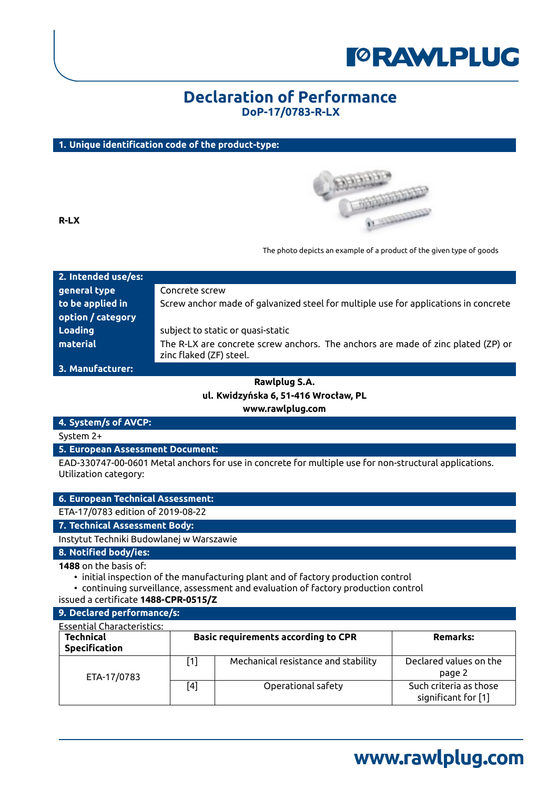

## **Declaration of Performance DoP-17/0783-R-LX**

### **1. Unique identification code of the product-type:**



**R-LX**

The photo depicts an example of a product of the given type of goods

| 2. Intended use/es: |                                                                                                             |
|---------------------|-------------------------------------------------------------------------------------------------------------|
| general type        | Concrete screw                                                                                              |
| to be applied in    | Screw anchor made of galvanized steel for multiple use for applications in concrete                         |
| option / category   |                                                                                                             |
| Loading             | subject to static or quasi-static                                                                           |
| material            | The R-LX are concrete screw anchors. The anchors are made of zinc plated (ZP) or<br>zinc flaked (ZF) steel. |

**3. Manufacturer:**

## **Rawlplug S.A. ul. Kwidzyńska 6, 51-416 Wrocław, PL www.rawlplug.com**

### **4. System/s of AVCP:**

System 2+

**5. European Assessment Document:**

EAD-330747-00-0601 Metal anchors for use in concrete for multiple use for non-structural applications. Utilization category:

|                               | 6. European Technical Assessment:                                                 |
|-------------------------------|-----------------------------------------------------------------------------------|
|                               | ETA-17/0783 edition of 2019-08-22                                                 |
| 7. Technical Assessment Body: |                                                                                   |
|                               | Instytut Techniki Budowlanej w Warszawie                                          |
| 8. Notified body/ies:         |                                                                                   |
| <b>1488</b> on the basis of:  | • initial inspection of the manufacturing plant and of factory production control |

• continuing surveillance, assessment and evaluation of factory production control

issued a certificate **1488-CPR-0515/Z**

| 9. Declared performance/s:               |                  |                                            |                                               |
|------------------------------------------|------------------|--------------------------------------------|-----------------------------------------------|
| <b>Essential Characteristics:</b>        |                  |                                            |                                               |
| <b>Technical</b><br><b>Specification</b> |                  | <b>Basic requirements according to CPR</b> | <b>Remarks:</b>                               |
| ETA-17/0783                              | $\left[1\right]$ | Mechanical resistance and stability        | Declared values on the<br>page 2              |
|                                          | [4]              | Operational safety                         | Such criteria as those<br>significant for [1] |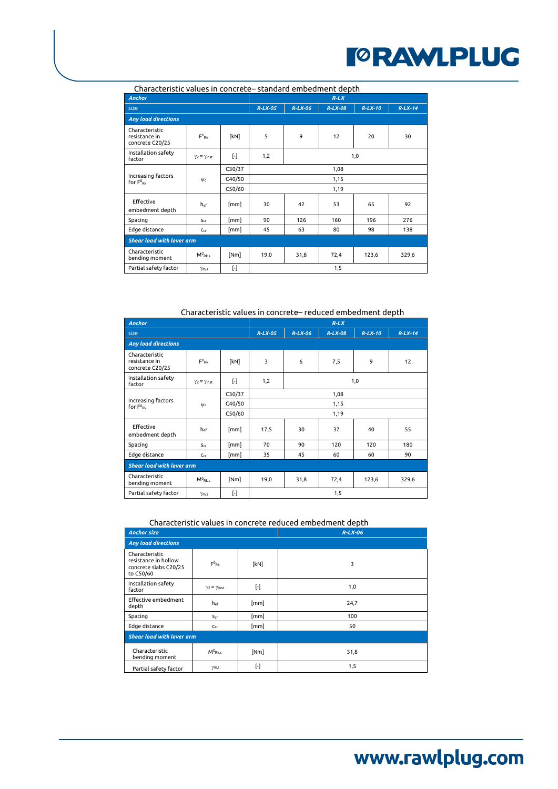| Characteristic values in concrete– standard embedinent depth |                            |           |            |           |           |           |           |  |  |
|--------------------------------------------------------------|----------------------------|-----------|------------|-----------|-----------|-----------|-----------|--|--|
| <b>Anchor</b>                                                |                            |           | $R-LX$     |           |           |           |           |  |  |
| size                                                         |                            |           | $R-LX-05$  | $R-LX-06$ | $R-LX-08$ | $R-LX-10$ | $R-LX-14$ |  |  |
| <b>Any load directions</b>                                   |                            |           |            |           |           |           |           |  |  |
| Characteristic<br>resistance in<br>concrete C20/25           | $F^0_{\mathsf{Rk}}$        | [kN]      | 5          | 9         | 12        | 20        | 30        |  |  |
| Installation safety<br>factor                                | $\gamma_2 = \gamma_{inst}$ | $[\cdot]$ | 1,2<br>1,0 |           |           |           |           |  |  |
|                                                              |                            | C30/37    | 1,08       |           |           |           |           |  |  |
| Increasing factors<br>for F <sup>0</sup> <sub>Rk</sub>       | $\Psi$ c                   | C40/50    | 1,15       |           |           |           |           |  |  |
|                                                              |                            | C50/60    | 1,19       |           |           |           |           |  |  |
| Effective<br>embedment depth                                 | hef                        | [mm]      | 30         | 42        | 53        | 65        | 92        |  |  |
| Spacing                                                      | S <sub>cr</sub>            | [mm]      | 90         | 126       | 160       | 196       | 276       |  |  |
| Edge distance                                                | $C_{CF}$                   | [mm]      | 45         | 63        | 80        | 98        | 138       |  |  |
| <b>Shear load with lever arm</b>                             |                            |           |            |           |           |           |           |  |  |
| Characteristic<br>bending moment                             | $M^0_{Rk,s}$               | [Nm]      | 19,0       | 31,8      | 72,4      | 123,6     | 329,6     |  |  |
| Partial safety factor                                        | $\gamma_{\rm m,s}$         | $[ - ]$   |            |           | 1,5       |           |           |  |  |

## Characteristic values in concrete– standard embedment depth

Characteristic values in concrete– reduced embedment depth

| <b>Anchor</b>                                          |                            |           |            |           | $R-LX$    |           |           |  |  |
|--------------------------------------------------------|----------------------------|-----------|------------|-----------|-----------|-----------|-----------|--|--|
| size                                                   |                            |           | $R-LX-05$  | $R-LX-06$ | $R-LX-08$ | $R-LX-10$ | $R-LX-14$ |  |  |
| <b>Any load directions</b>                             |                            |           |            |           |           |           |           |  |  |
| Characteristic<br>resistance in<br>concrete C20/25     | $F^0_{\mathsf{Rk}}$        | [kN]      | 3          | 6         | 7,5       | 9         | 12        |  |  |
| Installation safety<br>factor                          | $\gamma_2 = \gamma_{inst}$ | $[\cdot]$ | 1,2<br>1,0 |           |           |           |           |  |  |
| Increasing factors<br>for F <sup>0</sup> <sub>Rk</sub> |                            | C30/37    | 1,08       |           |           |           |           |  |  |
|                                                        | $\Psi$ c                   | C40/50    | 1,15       |           |           |           |           |  |  |
|                                                        |                            | C50/60    | 1,19       |           |           |           |           |  |  |
| Effective<br>embedment depth                           | hef                        | [mm]      | 17,5       | 30        | 37        | 40        | 55        |  |  |
| Spacing                                                | $S_{cr}$                   | [mm]      | 70         | 90        | 120       | 120       | 180       |  |  |
| Edge distance                                          | $C_{cr}$                   | [mm]      | 35         | 45        | 60        | 60        | 90        |  |  |
| <b>Shear load with lever arm</b>                       |                            |           |            |           |           |           |           |  |  |
| Characteristic<br>bending moment                       | $M^0_{Rk,s}$               | [Nm]      | 19,0       | 31,8      | 72,4      | 123,6     | 329,6     |  |  |
| Partial safety factor                                  | $\gamma_{\rm m,s}$         | $[\cdot]$ |            |           | 1,5       |           |           |  |  |

#### Characteristic values in concrete reduced embedment depth

| <b>Anchor size</b>                                                           |                                       |                    | $R-LX-06$ |  |  |  |  |  |
|------------------------------------------------------------------------------|---------------------------------------|--------------------|-----------|--|--|--|--|--|
| <b>Any load directions</b>                                                   |                                       |                    |           |  |  |  |  |  |
| Characteristic<br>resistance in hollow<br>concrete slabs C20/25<br>to C50/60 | $F^0_{\mathsf{Rk}}$                   | [kN]               | 3         |  |  |  |  |  |
| Installation safety<br>factor                                                | $\gamma$ <sub>2</sub> = $\gamma$ inst | $[\cdot]$          | 1,0       |  |  |  |  |  |
| Effective embedment<br>depth                                                 | hef                                   | $\lceil mm \rceil$ | 24,7      |  |  |  |  |  |
| Spacing                                                                      | $S_{cr}$                              | [mm]               | 100       |  |  |  |  |  |
| Edge distance                                                                | $C_{cr}$                              | $\lceil mm \rceil$ | 50        |  |  |  |  |  |
| <b>Shear load with lever arm</b>                                             |                                       |                    |           |  |  |  |  |  |
| Characteristic<br>bending moment                                             | $M^0_{Rk,s}$                          | [Nm]               | 31,8      |  |  |  |  |  |
| Partial safety factor                                                        | $\gamma_{m,s}$                        | $[\cdot]$          | 1,5       |  |  |  |  |  |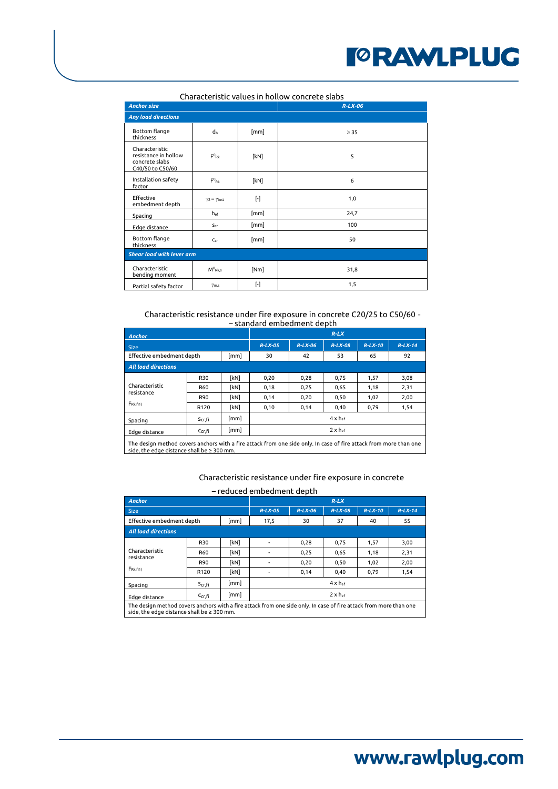| <b>Anchor size</b>                                                           |                                  |           | Characteristic values in hollow concrete slabs<br>$R-LX-06$ |  |  |  |  |  |
|------------------------------------------------------------------------------|----------------------------------|-----------|-------------------------------------------------------------|--|--|--|--|--|
|                                                                              |                                  |           |                                                             |  |  |  |  |  |
| <b>Any load directions</b>                                                   |                                  |           |                                                             |  |  |  |  |  |
| Bottom flange<br>thickness                                                   | dь                               | [mm]      | $\geq$ 35                                                   |  |  |  |  |  |
| Characteristic<br>resistance in hollow<br>concrete slabs<br>C40/50 to C50/60 | $F^0_{\mathsf{Rk}}$              | [kN]      | 5                                                           |  |  |  |  |  |
| Installation safety<br>factor                                                | $F^0_{\phantom{a}RR}$            | [kN]      | 6                                                           |  |  |  |  |  |
| Effective<br>embedment depth                                                 | $\gamma_2 = \gamma_{inst}$       | $[\cdot]$ | 1,0                                                         |  |  |  |  |  |
| Spacing                                                                      | $h_{ef}$                         | [mm]      | 24,7                                                        |  |  |  |  |  |
| Edge distance                                                                | $S_{cr}$                         | [mm]      | 100                                                         |  |  |  |  |  |
| Bottom flange<br>thickness                                                   | $C_{cr}$                         | [mm]      | 50                                                          |  |  |  |  |  |
|                                                                              | <b>Shear load with lever arm</b> |           |                                                             |  |  |  |  |  |
| Characteristic<br>bending moment                                             | $M^0_{Rk,s}$                     | [Nm]      | 31,8                                                        |  |  |  |  |  |
| Partial safety factor                                                        | $\gamma_{\text{m,s}}$            | $[\cdot]$ | 1,5                                                         |  |  |  |  |  |

#### Characteristic resistance under fire exposure in concrete C20/25 to C50/60 - <u>– standard embedment depth</u>

| <b>Anchor</b>                                                                                                                                                        |                    |      | $R-LX$                     |           |                          |           |           |  |  |
|----------------------------------------------------------------------------------------------------------------------------------------------------------------------|--------------------|------|----------------------------|-----------|--------------------------|-----------|-----------|--|--|
| <b>Size</b>                                                                                                                                                          |                    |      | $R-LX-05$                  | $R-LX-06$ | $R-LX-08$                | $R-LX-10$ | $R-LX-14$ |  |  |
| Effective embedment depth                                                                                                                                            |                    | [mm] | 30                         | 42        | 53                       | 65        | 92        |  |  |
| <b>All load directions</b>                                                                                                                                           |                    |      |                            |           |                          |           |           |  |  |
|                                                                                                                                                                      | R30                | [kN] | 0,20                       | 0,28      | 0,75                     | 1,57      | 3,08      |  |  |
| Characteristic                                                                                                                                                       | R60                | [kN] | 0,18                       | 0,25      | 0,65                     | 1,18      | 2,31      |  |  |
| resistance<br>FRk, fi1)                                                                                                                                              | R90                | [kN] | 0,14                       | 0,20      | 0,50                     | 1,02      | 2,00      |  |  |
|                                                                                                                                                                      | R <sub>120</sub>   | [kN] | 0,10                       | 0,14      | 0,40                     | 0,79      | 1,54      |  |  |
| Spacing                                                                                                                                                              | S <sub>cr,fi</sub> | [mm] |                            |           | $4 \times h_{\text{ef}}$ |           |           |  |  |
| Edge distance                                                                                                                                                        | $C_{cr.fi}$        | [mm] | $2 \times h$ <sub>ef</sub> |           |                          |           |           |  |  |
| The design method covers anchors with a fire attack from one side only. In case of fire attack from more than one<br>side, the edge distance shall be $\geq 300$ mm. |                    |      |                            |           |                          |           |           |  |  |

# Characteristic resistance under fire exposure in concrete

## – reduced embedment depth

| Anchor                                                                                                                                                               | $R-LX$             |                    |                            |                |           |      |      |  |
|----------------------------------------------------------------------------------------------------------------------------------------------------------------------|--------------------|--------------------|----------------------------|----------------|-----------|------|------|--|
| Size                                                                                                                                                                 | $R-LX-05$          | $R-LX-06$          | $R-LX-08$                  | $R-LX-10$      | $R-LX-14$ |      |      |  |
| Effective embedment depth                                                                                                                                            |                    | [mm]               | 17,5                       | 30<br>37<br>40 |           |      |      |  |
| <b>All load directions</b>                                                                                                                                           |                    |                    |                            |                |           |      |      |  |
|                                                                                                                                                                      | <b>R30</b>         | [kN]               |                            | 0,28           | 0,75      | 1,57 | 3,00 |  |
| Characteristic                                                                                                                                                       | R60                | [kN]               |                            | 0.25           | 0.65      | 1.18 | 2,31 |  |
| resistance<br>FRk.fi1)                                                                                                                                               | R90                | [kN]               |                            | 0,20           | 0,50      | 1,02 | 2,00 |  |
|                                                                                                                                                                      | R <sub>120</sub>   | [kN]               |                            | 0,14           | 0,40      | 0,79 | 1,54 |  |
| Spacing                                                                                                                                                              | $S_{cr,fi}$        | $\lceil mm \rceil$ | $4 \times h$ <sub>ef</sub> |                |           |      |      |  |
| Edge distance                                                                                                                                                        | C <sub>Cr</sub> fi | $\lceil mm \rceil$ | $2 \times h$ <sub>ef</sub> |                |           |      |      |  |
| The design method covers anchors with a fire attack from one side only. In case of fire attack from more than one<br>side, the edge distance shall be $\geq 300$ mm. |                    |                    |                            |                |           |      |      |  |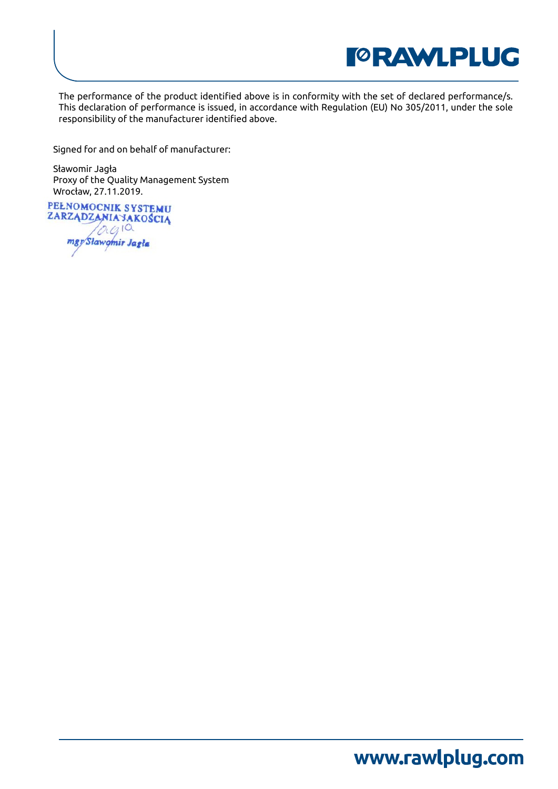

The performance of the product identified above is in conformity with the set of declared performance/s. This declaration of performance is issued, in accordance with Regulation (EU) No 305/2011, under the sole responsibility of the manufacturer identified above.

Signed for and on behalf of manufacturer:

Sławomir Jagła Proxy of the Quality Management System Wrocław, 27.11.2019.

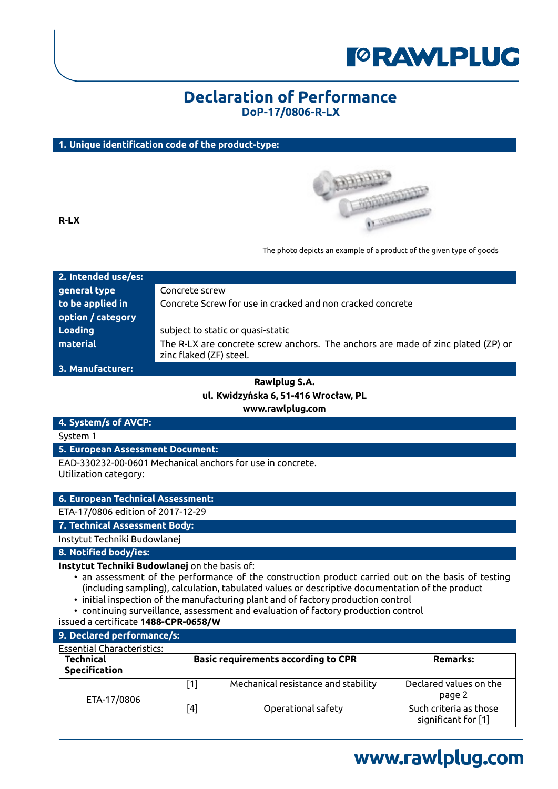

## **Declaration of Performance DoP-17/0806-R-LX**

### **1. Unique identification code of the product-type:**



**R-LX**

The photo depicts an example of a product of the given type of goods

| 2. Intended use/es: |                                                                                                             |
|---------------------|-------------------------------------------------------------------------------------------------------------|
| general type        | Concrete screw                                                                                              |
| to be applied in    | Concrete Screw for use in cracked and non cracked concrete                                                  |
| option / category   |                                                                                                             |
| Loading             | subject to static or quasi-static                                                                           |
| material            | The R-LX are concrete screw anchors. The anchors are made of zinc plated (ZP) or<br>zinc flaked (ZF) steel. |

**3. Manufacturer:**

## **Rawlplug S.A. ul. Kwidzyńska 6, 51-416 Wrocław, PL www.rawlplug.com**

### **4. System/s of AVCP:**

System 1

**5. European Assessment Document:**

EAD-330232-00-0601 Mechanical anchors for use in concrete. Utilization category:

**6. European Technical Assessment:**

ETA-17/0806 edition of 2017-12-29

**7. Technical Assessment Body:**

Instytut Techniki Budowlanej

**8. Notified body/ies:**

#### **Instytut Techniki Budowlanej** on the basis of:

- an assessment of the performance of the construction product carried out on the basis of testing (including sampling), calculation, tabulated values or descriptive documentation of the product
- initial inspection of the manufacturing plant and of factory production control
- continuing surveillance, assessment and evaluation of factory production control
- issued a certificate **1488-CPR-0658/W**

### **9. Declared performance/s:**

| <b>Essential Characteristics:</b>        |       |                                            |                                               |
|------------------------------------------|-------|--------------------------------------------|-----------------------------------------------|
| <b>Technical</b><br><b>Specification</b> |       | <b>Basic requirements according to CPR</b> | Remarks:                                      |
| ETA-17/0806                              | $[1]$ | Mechanical resistance and stability        | Declared values on the<br>page 2              |
|                                          | $[4]$ | Operational safety                         | Such criteria as those<br>significant for [1] |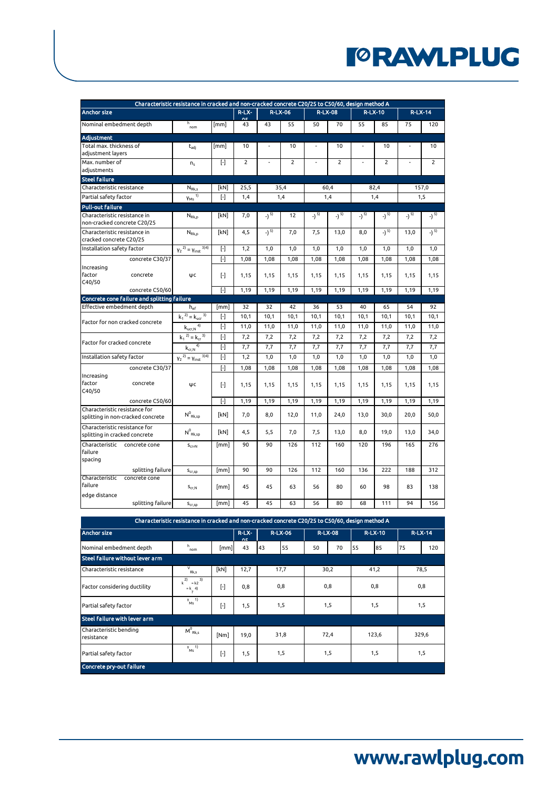|                                                                    | Characteristic resistance in cracked and non-cracked concrete C20/25 to C50/60, design method A |             |                |                   |                |       |                |       |                |       |                |
|--------------------------------------------------------------------|-------------------------------------------------------------------------------------------------|-------------|----------------|-------------------|----------------|-------|----------------|-------|----------------|-------|----------------|
| <b>Anchor size</b>                                                 |                                                                                                 |             | $R-LX-$<br>nέ  |                   | <b>R-LX-06</b> |       | <b>R-LX-08</b> |       | <b>R-LX-10</b> |       | $R-LX-14$      |
| Nominal embedment depth                                            | h<br>nom                                                                                        | [mm]        | 43             | 43                | 55             | 50    | 70             | 55    | 85             | 75    | 120            |
| <b>Adiustment</b>                                                  |                                                                                                 |             |                |                   |                |       |                |       |                |       |                |
| Total max. thickness of                                            | $t_{\text{adj}}$                                                                                | [mm]        | 10             |                   | 10             |       | 10             |       | 10             |       | 10             |
| adjustment layers                                                  |                                                                                                 |             |                |                   |                |       |                |       |                |       |                |
| Max. number of                                                     | n <sub>s</sub>                                                                                  | $[\cdot]$   | $\overline{2}$ |                   | $\overline{2}$ |       | $\overline{2}$ |       | $\overline{2}$ |       | $\overline{2}$ |
| adjustments                                                        |                                                                                                 |             |                |                   |                |       |                |       |                |       |                |
| <b>Steel failure</b>                                               |                                                                                                 |             |                |                   |                |       |                |       |                |       |                |
| Characteristic resistance                                          | $N_{Rk,s}$                                                                                      | [kN]        | 25,5           |                   | 35,4           |       | 60,4           |       | 82,4           |       | 157,0          |
| Partial safety factor                                              | $V_{MS}$ <sup>1)</sup>                                                                          | $[\cdot]$   | 1,4            |                   | 1,4            |       | 1,4            |       | 1,4            |       | 1,5            |
| <b>Pull-out failure</b>                                            |                                                                                                 |             |                |                   |                |       |                |       |                |       |                |
| Characteristic resistance in<br>non-cracked concrete C20/25        | $N_{Rk,p}$                                                                                      | [kN]        | 7,0            | $)$ <sup>5)</sup> | 12             | -) 5) | -) 5)          | -) 5) | -) 5)          | -) 5) | -) 5)          |
| Characteristic resistance in                                       | $N_{Rk,p}$                                                                                      | [kN]        | 4,5            | -) 5)             | 7,0            | 7,5   | 13,0           | 8,0   | -) 5)          | 13,0  | -) 5)          |
| cracked concrete C20/25                                            |                                                                                                 |             |                |                   |                |       |                |       |                |       |                |
| Installation safety factor                                         | $y_2^{2)} = y_{inst}^{3/4}$                                                                     | $[\cdot]$   | 1,2            | 1,0               | 1,0            | 1,0   | 1,0            | 1,0   | 1,0            | 1,0   | 1,0            |
| concrete C30/37                                                    |                                                                                                 | $[\cdot]$   | 1,08           | 1,08              | 1,08           | 1,08  | 1,08           | 1,08  | 1,08           | 1,08  | 1,08           |
| Increasing                                                         |                                                                                                 |             |                |                   |                |       |                |       |                |       |                |
| factor<br>concrete<br>C40/50                                       | ψc                                                                                              | $[\cdot]$   | 1,15           | 1,15              | 1,15           | 1,15  | 1,15           | 1,15  | 1,15           | 1,15  | 1,15           |
| concrete C50/60                                                    |                                                                                                 | $[ \cdot ]$ | 1,19           | 1,19              | 1,19           | 1,19  | 1,19           | 1,19  | 1,19           | 1,19  | 1,19           |
| Concrete cone failure and splitting failure                        |                                                                                                 |             |                |                   |                |       |                |       |                |       |                |
| Effective embedment depth                                          | $h_{ef}$                                                                                        | [mm]        | 32             | 32                | 42             | 36    | 53             | 40    | 65             | 54    | 92             |
| Factor for non cracked concrete                                    | $k_1^2 = k_{\text{ucr}}^3$                                                                      | $[\cdot]$   | 10,1           | 10,1              | 10,1           | 10,1  | 10,1           | 10,1  | 10,1           | 10,1  | 10,1           |
|                                                                    | $\mathsf{k}_{\mathsf{ucr},\mathsf{N}}$ <sup>4)</sup>                                            | $[\cdot]$   | 11,0           | 11,0              | 11,0           | 11,0  | 11,0           | 11,0  | 11,0           | 11,0  | 11,0           |
|                                                                    | $k_1$ <sup>2)</sup> = $k_{cr}$ <sup>3)</sup>                                                    | $[\cdot]$   | 7,2            | 7,2               | 7,2            | 7,2   | 7,2            | 7,2   | 7,2            | 7,2   | 7,2            |
| Factor for cracked concrete                                        | $k_{cr,N}$ <sup>4)</sup>                                                                        | $[\cdot]$   | 7,7            | 7,7               | 7,7            | 7,7   | 7,7            | 7,7   | 7,7            | 7,7   | 7,7            |
| Installation safety factor                                         | $Y_2^{2)} = Y_{inst}^{3/4}$                                                                     | $[\cdot]$   | 1,2            | 1,0               | 1,0            | 1,0   | 1,0            | 1,0   | 1,0            | 1,0   | 1,0            |
| concrete C30/37                                                    |                                                                                                 | $[ \cdot ]$ | 1,08           | 1,08              | 1,08           | 1,08  | 1,08           | 1,08  | 1,08           | 1,08  | 1,08           |
| Increasing                                                         |                                                                                                 |             |                |                   |                |       |                |       |                |       |                |
| factor<br>concrete                                                 | ΨC                                                                                              | $[\cdot]$   | 1,15           | 1,15              | 1,15           | 1,15  | 1.15           | 1.15  | 1,15           | 1.15  | 1,15           |
| C40/50                                                             |                                                                                                 |             |                |                   |                |       |                |       |                |       |                |
| concrete C50/60                                                    |                                                                                                 | $[ \cdot ]$ | 1,19           | 1,19              | 1,19           | 1,19  | 1,19           | 1,19  | 1,19           | 1,19  | 1,19           |
| Characteristic resistance for<br>splitting in non-cracked concrete | $N^0_{Rk,50}$                                                                                   | [kN]        | 7.0            | 8.0               | 12.0           | 11.0  | 24.0           | 13.0  | 30.0           | 20.0  | 50.0           |
| Characteristic resistance for<br>splitting in cracked concrete     | $N^0_{\ Rk,sp}$                                                                                 | <b>[kN]</b> | 4.5            | 5.5               | 7.0            | 7.5   | 13.0           | 8.0   | 19.0           | 13.0  | 34.0           |
| Characteristic<br>concrete cone<br>failure<br>spacing              | $S_{\text{Cf/N}}$                                                                               | [mm]        | 90             | 90                | 126            | 112   | 160            | 120   | 196            | 165   | 276            |
| splitting failure                                                  | $\mathsf{s}_{\text{cr,sp}}$                                                                     | [mm]        | 90             | 90                | 126            | 112   | 160            | 136   | 222            | 188   | 312            |
| Characteristic<br>concrete cone<br>failure                         | $S_{cr,N}$                                                                                      | [mm]        | 45             | 45                | 63             | 56    | 80             | 60    | 98             | 83    | 138            |
| edge distance                                                      |                                                                                                 |             |                |                   |                |       |                |       |                |       |                |
| splitting failure                                                  | S <sub>cr,sp</sub>                                                                              | [mm]        | 45             | 45                | 63             | 56    | 80             | 68    | 111            | 94    | 156            |

| Characteristic resistance in cracked and non-cracked concrete C20/25 to C50/60, design method A |                                                      |                                        |      |                |                |                |           |  |  |  |  |  |
|-------------------------------------------------------------------------------------------------|------------------------------------------------------|----------------------------------------|------|----------------|----------------|----------------|-----------|--|--|--|--|--|
| <b>Anchor size</b>                                                                              |                                                      | $R-LX-$<br><b>R-LX-06</b><br><b>OF</b> |      | <b>R-LX-08</b> | <b>R-LX-10</b> | <b>R-LX-14</b> |           |  |  |  |  |  |
| Nominal embedment depth                                                                         | h<br>nom                                             | [mm]                                   | 43   | 55<br>43       | 50<br>70       | 55<br>85       | 75<br>120 |  |  |  |  |  |
| Steel failure without lever arm                                                                 |                                                      |                                        |      |                |                |                |           |  |  |  |  |  |
| Characteristic resistance                                                                       | V<br>Rk,s                                            | [kN]                                   | 12,7 | 17,7           | 30,2           | 41,2           | 78,5      |  |  |  |  |  |
| Factor considering ductility                                                                    | 2)<br>3)<br>$= k2$<br>k<br>$=k$ 4)<br>$\overline{7}$ | $[$                                    | 0,8  | 0,8            | 0,8            | 0,8            | 0,8       |  |  |  |  |  |
| Partial safety factor                                                                           | $y \quad 1)$<br>Ms                                   | $[$                                    | 1,5  | 1,5            | 1,5            | 1,5            | 1,5       |  |  |  |  |  |
| Steel failure with lever arm                                                                    |                                                      |                                        |      |                |                |                |           |  |  |  |  |  |
| Characteristic bending<br>resistance                                                            | $M_{Rk,s}^0$                                         | [Nm]                                   | 19,0 | 31,8           | 72,4           | 123,6          | 329,6     |  |  |  |  |  |
| Partial safety factor                                                                           | $y = 1$<br>Ms <sup>'</sup>                           | $[$                                    | 1,5  | 1,5            | 1,5            | 1,5            |           |  |  |  |  |  |
| <b>Concrete pry-out failure</b>                                                                 |                                                      |                                        |      |                |                |                |           |  |  |  |  |  |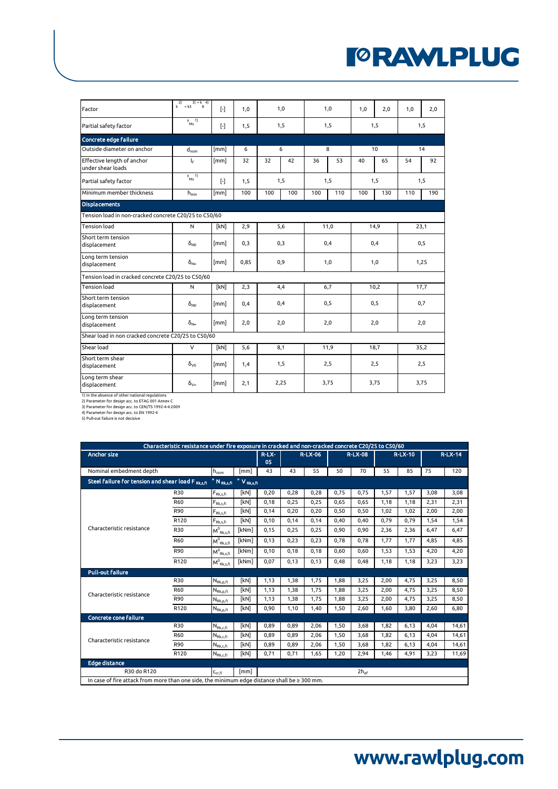| Factor                                                | $k^2 = k3^3 = k^4$             | $[\cdot]$         | 1,0  | 1,0  |     | 1,0  |     | 1,0  | 2.0  | 1,0  | 2,0  |  |
|-------------------------------------------------------|--------------------------------|-------------------|------|------|-----|------|-----|------|------|------|------|--|
| Partial safety factor                                 | $v_{Ms}$ <sup>1)</sup>         | $[\cdot]$         | 1,5  | 1,5  |     | 1,5  |     | 1,5  |      | 1,5  |      |  |
| Concrete edge failure                                 |                                |                   |      |      |     |      |     |      |      |      |      |  |
| Outside diameter on anchor                            | $d_{nom}$                      | [mm]              | 6    | 6    |     | 8    |     | 10   |      |      | 14   |  |
| Effective length of anchor<br>under shear loads       | ŀ                              | [mm]              | 32   | 32   | 42  | 36   | 53  | 40   | 65   | 54   | 92   |  |
| Partial safety factor                                 | $v_{Ms}$ <sup>1)</sup>         | $\lceil - \rceil$ | 1,5  |      | 1,5 |      | 1,5 |      | 1,5  |      | 1,5  |  |
| Minimum member thickness                              | $h_{\text{min}}$               | [mm]              | 100  | 100  | 100 | 100  | 110 | 100  | 130  | 110  | 190  |  |
| <b>Displacements</b>                                  |                                |                   |      |      |     |      |     |      |      |      |      |  |
| Tension load in non-cracked concrete C20/25 to C50/60 |                                |                   |      |      |     |      |     |      |      |      |      |  |
| <b>Tension load</b>                                   | N                              | [kN]              | 2,9  | 5,6  |     | 11,0 |     | 14.9 |      | 23,1 |      |  |
| Short term tension<br>displacement                    | $\delta_{N0}$                  | [mm]              | 0,3  | 0,3  |     | 0,4  |     | 0,4  |      | 0,5  |      |  |
| Long term tension<br>displacement                     | $\delta_{\mathsf{N}^{\omega}}$ | [mm]              | 0,85 | 0,9  |     | 1,0  |     | 1,0  |      | 1,25 |      |  |
| Tension load in cracked concrete C20/25 to C50/60     |                                |                   |      |      |     |      |     |      |      |      |      |  |
| <b>Tension load</b>                                   | N                              | [kN]              | 2,3  | 4,4  |     |      | 6,7 |      | 10,2 |      | 17,7 |  |
| Short term tension<br>displacement                    | $\delta_{N0}$                  | [mm]              | 0,4  | 0,4  |     | 0,5  |     | 0,5  |      | 0,7  |      |  |
| Long term tension<br>displacement                     | $\delta_{\text{Nse}}$          | [mm]              | 2,0  | 2,0  |     | 2,0  |     | 2,0  |      | 2,0  |      |  |
| Shear load in non cracked concrete C20/25 to C50/60   |                                |                   |      |      |     |      |     |      |      |      |      |  |
| Shear load                                            | $\vee$                         | [kN]              | 5,6  | 8,1  |     | 11,9 |     | 18,7 |      | 35,2 |      |  |
| Short term shear<br>displacement                      | $\delta_{\nu 0}$               | [mm]              | 1,4  | 1,5  |     | 2,5  |     | 2,5  |      | 2,5  |      |  |
| Long term shear<br>displacement                       | $\delta_{\vee\infty}$          | [mm]              | 2,1  | 2,25 |     | 3,75 |     | 3,75 |      | 3,75 |      |  |

1) In the absence of other national regulations<br>2) Parameter for design acc. to ETAG 001 Annex C<br>3) Parameter for design acc. to CEN/TS 1992-4-4:2009<br>4) Parameter for design acc. to EN 1992-4<br>5) Pull-out failure is not dec

|                                                                                                   | Characteristic resistance under fire exposure in cracked and non-cracked concrete C20/25 to C50/60 |                                                       |                  |         |      |                |      |                  |                |      |           |       |
|---------------------------------------------------------------------------------------------------|----------------------------------------------------------------------------------------------------|-------------------------------------------------------|------------------|---------|------|----------------|------|------------------|----------------|------|-----------|-------|
| <b>Anchor size</b>                                                                                |                                                                                                    |                                                       |                  | $R-LX-$ |      | <b>R-LX-06</b> |      | <b>R-LX-08</b>   | <b>R-LX-10</b> |      | $R-LX-14$ |       |
| Nominal embedment depth<br>[mm]                                                                   |                                                                                                    | 05<br>43                                              | 43               | 55      | 50   | 70             | 55   | 85               | 75             | 120  |           |       |
|                                                                                                   |                                                                                                    | $h_{nom}$                                             |                  |         |      |                |      |                  |                |      |           |       |
| Steel failure for tension and shear load F Rk.s.ft                                                |                                                                                                    | " N <sub>Rk,s,fi</sub>                                | $=$ $V_{Rk,s,H}$ |         |      |                |      |                  |                |      |           |       |
|                                                                                                   | R30                                                                                                | $\mathsf{F}_{\mathsf{Rk},\mathsf{s},\mathsf{fi}}$     | [kN]             | 0,20    | 0,28 | 0.28           | 0.75 | 0,75             | 1,57           | 1,57 | 3,08      | 3,08  |
|                                                                                                   | <b>R60</b>                                                                                         | $F_{\mathsf{Rk},\mathsf{s},\mathsf{fi}}$              | [kN]             | 0,18    | 0,25 | 0,25           | 0,65 | 0,65             | 1,18           | 1,18 | 2,31      | 2,31  |
|                                                                                                   | R90                                                                                                | $F_{\text{Rk},\text{s},\text{fi}}$                    | [kN]             | 0.14    | 0.20 | 0.20           | 0.50 | 0.50             | 1,02           | 1.02 | 2,00      | 2,00  |
|                                                                                                   | R120                                                                                               | $F_{\rm Rk,s,fi}$                                     | <b>[kN]</b>      | 0.10    | 0,14 | 0.14           | 0.40 | 0.40             | 0.79           | 0.79 | 1.54      | 1,54  |
| Characteristic resistance                                                                         | <b>R30</b>                                                                                         | $M^0$ <sub>Rk.s.fi</sub>                              | [kNm]            | 0,15    | 0,25 | 0,25           | 0,90 | 0,90             | 2,36           | 2,36 | 6,47      | 6,47  |
|                                                                                                   | <b>R60</b>                                                                                         | $M^0_{\ Rk,s,fi}$                                     | [kNm]            | 0,13    | 0,23 | 0.23           | 0,78 | 0,78             | 1,77           | 1,77 | 4.85      | 4,85  |
|                                                                                                   | R90                                                                                                | $M^0_{Rk,s,fi}$                                       | [kNm]            | 0,10    | 0,18 | 0.18           | 0.60 | 0,60             | 1,53           | 1,53 | 4,20      | 4,20  |
|                                                                                                   | R120                                                                                               | $\mathsf{M}^0_{\ \mathsf{Rk},\mathsf{s},\mathsf{fi}}$ | [kNm]            | 0,07    | 0,13 | 0,13           | 0.48 | 0,48             | 1,18           | 1,18 | 3,23      | 3,23  |
| <b>Pull-out failure</b>                                                                           |                                                                                                    |                                                       |                  |         |      |                |      |                  |                |      |           |       |
|                                                                                                   | <b>R30</b>                                                                                         | $N_{\text{Rk},p,\text{fi}}$                           | [kN]             | 1,13    | 1,38 | 1,75           | 1,88 | 3,25             | 2,00           | 4,75 | 3,25      | 8,50  |
| Characteristic resistance                                                                         | <b>R60</b>                                                                                         | $N_{\rm Rk,p,fi}$                                     | [kN]             | 1,13    | 1,38 | 1,75           | 1,88 | 3,25             | 2,00           | 4,75 | 3,25      | 8,50  |
|                                                                                                   | R90                                                                                                | $N_{\rm Rk,p,fi}$                                     | [kN]             | 1,13    | 1,38 | 1,75           | 1,88 | 3,25             | 2,00           | 4.75 | 3,25      | 8,50  |
|                                                                                                   | R120                                                                                               | $N_{\rm Rk,p,fi}$                                     | <b>[kN]</b>      | 0.90    | 1.10 | 1.40           | 1.50 | 2,60             | 1.60           | 3.80 | 2.60      | 6,80  |
| <b>Concrete cone failure</b>                                                                      |                                                                                                    |                                                       |                  |         |      |                |      |                  |                |      |           |       |
|                                                                                                   | <b>R30</b>                                                                                         | $N_{Rk,c,fi}$                                         | [kN]             | 0,89    | 0.89 | 2,06           | 1,50 | 3,68             | 1,82           | 6.13 | 4.04      | 14,61 |
| Characteristic resistance                                                                         | <b>R60</b>                                                                                         | $N_{\rm Rk,c,fi}$                                     | [kN]             | 0.89    | 0.89 | 2,06           | 1.50 | 3.68             | 1.82           | 6.13 | 4.04      | 14,61 |
|                                                                                                   | R90                                                                                                | $N_{\mathsf{Rk},\mathsf{c},\mathsf{fi}}$              | [kN]             | 0,89    | 0,89 | 2,06           | 1,50 | 3,68             | 1,82           | 6,13 | 4,04      | 14,61 |
|                                                                                                   | R120                                                                                               | $N_{\rm Rk,c,fi}$                                     | [kN]             | 0,71    | 0,71 | 1,65           | 1,20 | 2,94             | 1,46           | 4,91 | 3,23      | 11,69 |
| <b>Edge distance</b>                                                                              |                                                                                                    |                                                       |                  |         |      |                |      |                  |                |      |           |       |
| R30 do R120                                                                                       |                                                                                                    | $C_{cr,fi}$                                           | [mm]             |         |      |                |      | $2h_{\text{ef}}$ |                |      |           |       |
| In case of fire attack from more than one side, the minimum edge distance shall be $\geq 300$ mm. |                                                                                                    |                                                       |                  |         |      |                |      |                  |                |      |           |       |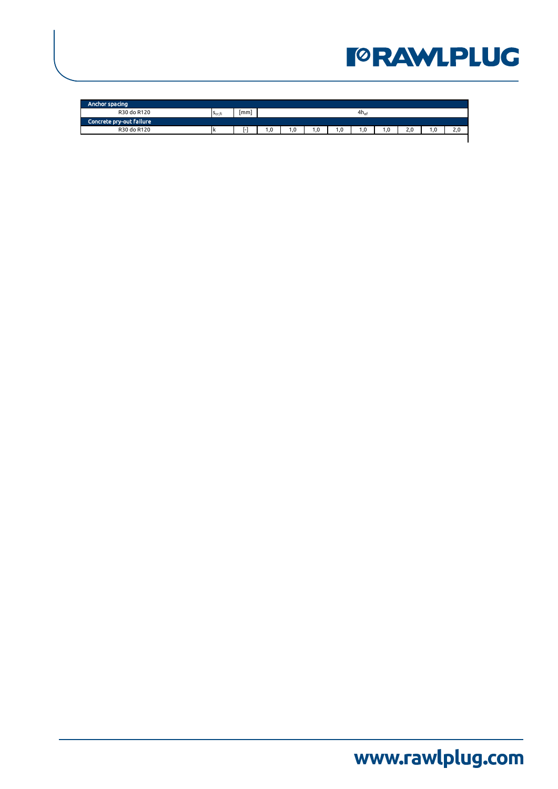| Anchor spacing           |                    |     |    |            |    |    |                  |     |    |     |
|--------------------------|--------------------|-----|----|------------|----|----|------------------|-----|----|-----|
| R30 do R120              | S <sub>cr,fi</sub> | mm  |    |            |    |    | $4h_{\text{ef}}$ |     |    |     |
| Concrete pry-out failure |                    |     |    |            |    |    |                  |     |    |     |
| R30 do R120              |                    | . . | .0 | $\cdot$ .0 | .0 | .0 | $\overline{0}$   | 2.0 | .0 | 2.0 |
|                          |                    |     |    |            |    |    |                  |     |    |     |